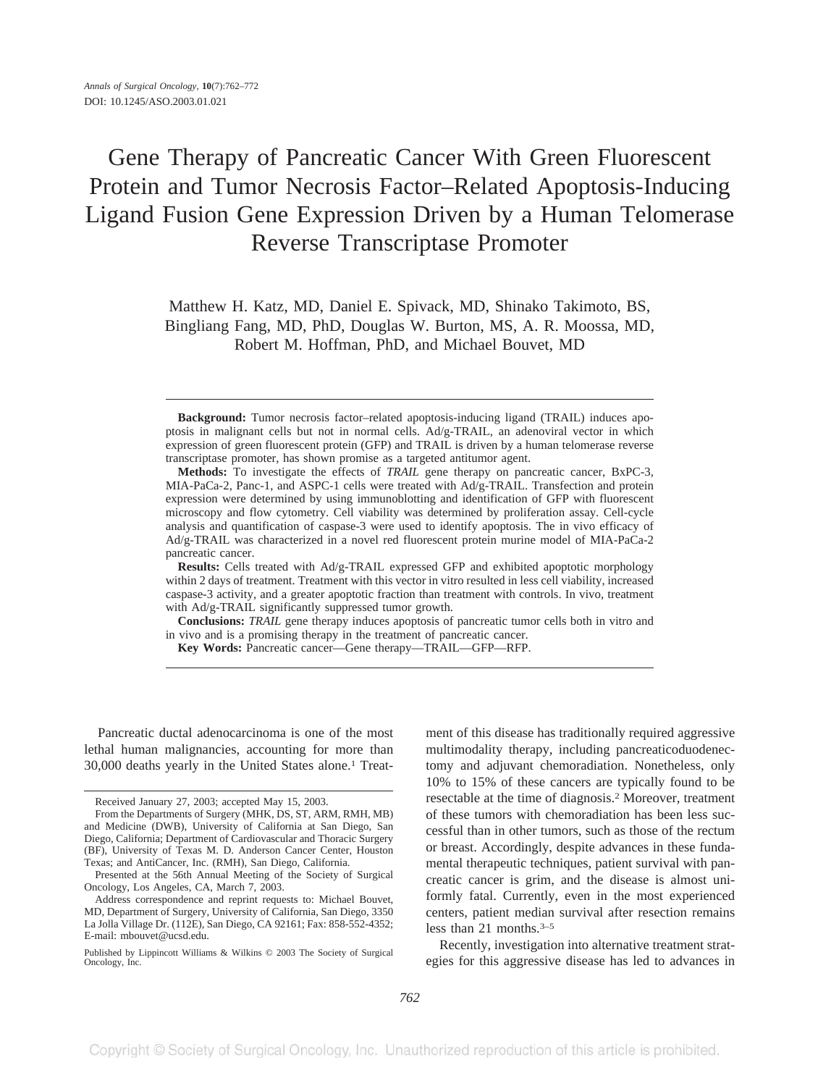# Gene Therapy of Pancreatic Cancer With Green Fluorescent Protein and Tumor Necrosis Factor–Related Apoptosis-Inducing Ligand Fusion Gene Expression Driven by a Human Telomerase Reverse Transcriptase Promoter

Matthew H. Katz, MD, Daniel E. Spivack, MD, Shinako Takimoto, BS, Bingliang Fang, MD, PhD, Douglas W. Burton, MS, A. R. Moossa, MD, Robert M. Hoffman, PhD, and Michael Bouvet, MD

**Results:** Cells treated with Ad/g-TRAIL expressed GFP and exhibited apoptotic morphology within 2 days of treatment. Treatment with this vector in vitro resulted in less cell viability, increased caspase-3 activity, and a greater apoptotic fraction than treatment with controls. In vivo, treatment with Ad/g-TRAIL significantly suppressed tumor growth.

**Conclusions:** *TRAIL* gene therapy induces apoptosis of pancreatic tumor cells both in vitro and in vivo and is a promising therapy in the treatment of pancreatic cancer.

**Key Words:** Pancreatic cancer—Gene therapy—TRAIL—GFP—RFP.

Pancreatic ductal adenocarcinoma is one of the most lethal human malignancies, accounting for more than 30,000 deaths yearly in the United States alone.1 Treat-

ment of this disease has traditionally required aggressive multimodality therapy, including pancreaticoduodenectomy and adjuvant chemoradiation. Nonetheless, only 10% to 15% of these cancers are typically found to be resectable at the time of diagnosis.2 Moreover, treatment of these tumors with chemoradiation has been less successful than in other tumors, such as those of the rectum or breast. Accordingly, despite advances in these fundamental therapeutic techniques, patient survival with pancreatic cancer is grim, and the disease is almost uniformly fatal. Currently, even in the most experienced centers, patient median survival after resection remains less than 21 months.3–5

Recently, investigation into alternative treatment strategies for this aggressive disease has led to advances in

**Background:** Tumor necrosis factor–related apoptosis-inducing ligand (TRAIL) induces apoptosis in malignant cells but not in normal cells. Ad/g-TRAIL, an adenoviral vector in which expression of green fluorescent protein (GFP) and TRAIL is driven by a human telomerase reverse transcriptase promoter, has shown promise as a targeted antitumor agent.

**Methods:** To investigate the effects of *TRAIL* gene therapy on pancreatic cancer, BxPC-3, MIA-PaCa-2, Panc-1, and ASPC-1 cells were treated with Ad/g-TRAIL. Transfection and protein expression were determined by using immunoblotting and identification of GFP with fluorescent microscopy and flow cytometry. Cell viability was determined by proliferation assay. Cell-cycle analysis and quantification of caspase-3 were used to identify apoptosis. The in vivo efficacy of Ad/g-TRAIL was characterized in a novel red fluorescent protein murine model of MIA-PaCa-2 pancreatic cancer.

Received January 27, 2003; accepted May 15, 2003.

From the Departments of Surgery (MHK, DS, ST, ARM, RMH, MB) and Medicine (DWB), University of California at San Diego, San Diego, California; Department of Cardiovascular and Thoracic Surgery (BF), University of Texas M. D. Anderson Cancer Center, Houston Texas; and AntiCancer, Inc. (RMH), San Diego, California.

Presented at the 56th Annual Meeting of the Society of Surgical Oncology, Los Angeles, CA, March 7, 2003.

Address correspondence and reprint requests to: Michael Bouvet, MD, Department of Surgery, University of California, San Diego, 3350 La Jolla Village Dr. (112E), San Diego, CA 92161; Fax: 858-552-4352; E-mail: mbouvet@ucsd.edu.

Published by Lippincott Williams & Wilkins © 2003 The Society of Surgical Oncology, Inc.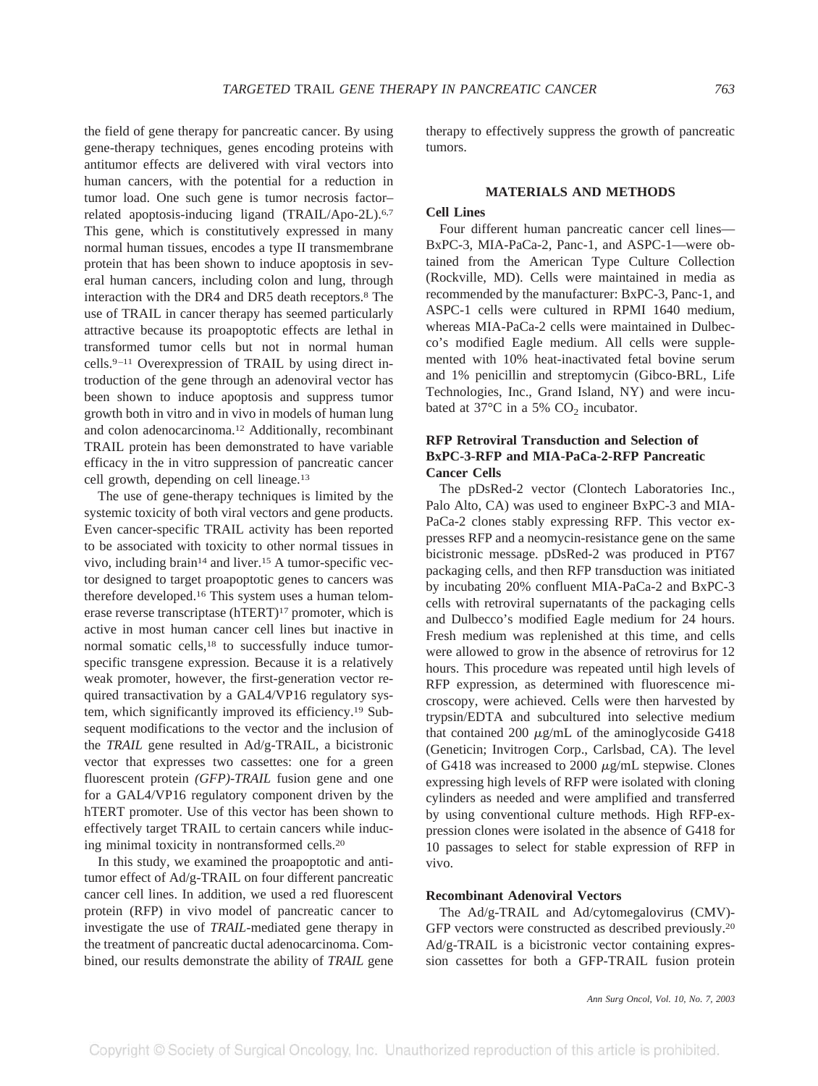the field of gene therapy for pancreatic cancer. By using gene-therapy techniques, genes encoding proteins with antitumor effects are delivered with viral vectors into human cancers, with the potential for a reduction in tumor load. One such gene is tumor necrosis factor– related apoptosis-inducing ligand (TRAIL/Apo-2L).<sup>6,7</sup> This gene, which is constitutively expressed in many normal human tissues, encodes a type II transmembrane protein that has been shown to induce apoptosis in several human cancers, including colon and lung, through interaction with the DR4 and DR5 death receptors.8 The use of TRAIL in cancer therapy has seemed particularly attractive because its proapoptotic effects are lethal in transformed tumor cells but not in normal human cells.9–11 Overexpression of TRAIL by using direct introduction of the gene through an adenoviral vector has been shown to induce apoptosis and suppress tumor growth both in vitro and in vivo in models of human lung and colon adenocarcinoma.12 Additionally, recombinant TRAIL protein has been demonstrated to have variable efficacy in the in vitro suppression of pancreatic cancer cell growth, depending on cell lineage.13

The use of gene-therapy techniques is limited by the systemic toxicity of both viral vectors and gene products. Even cancer-specific TRAIL activity has been reported to be associated with toxicity to other normal tissues in vivo, including brain<sup>14</sup> and liver.<sup>15</sup> A tumor-specific vector designed to target proapoptotic genes to cancers was therefore developed.16 This system uses a human telomerase reverse transcriptase (hTERT)<sup>17</sup> promoter, which is active in most human cancer cell lines but inactive in normal somatic cells,<sup>18</sup> to successfully induce tumorspecific transgene expression. Because it is a relatively weak promoter, however, the first-generation vector required transactivation by a GAL4/VP16 regulatory system, which significantly improved its efficiency.19 Subsequent modifications to the vector and the inclusion of the *TRAIL* gene resulted in Ad/g-TRAIL, a bicistronic vector that expresses two cassettes: one for a green fluorescent protein *(GFP)-TRAIL* fusion gene and one for a GAL4/VP16 regulatory component driven by the hTERT promoter. Use of this vector has been shown to effectively target TRAIL to certain cancers while inducing minimal toxicity in nontransformed cells.20

In this study, we examined the proapoptotic and antitumor effect of Ad/g-TRAIL on four different pancreatic cancer cell lines. In addition, we used a red fluorescent protein (RFP) in vivo model of pancreatic cancer to investigate the use of *TRAIL*-mediated gene therapy in the treatment of pancreatic ductal adenocarcinoma. Combined, our results demonstrate the ability of *TRAIL* gene therapy to effectively suppress the growth of pancreatic tumors.

#### **MATERIALS AND METHODS**

## **Cell Lines**

Four different human pancreatic cancer cell lines— BxPC-3, MIA-PaCa-2, Panc-1, and ASPC-1—were obtained from the American Type Culture Collection (Rockville, MD). Cells were maintained in media as recommended by the manufacturer: BxPC-3, Panc-1, and ASPC-1 cells were cultured in RPMI 1640 medium, whereas MIA-PaCa-2 cells were maintained in Dulbecco's modified Eagle medium. All cells were supplemented with 10% heat-inactivated fetal bovine serum and 1% penicillin and streptomycin (Gibco-BRL, Life Technologies, Inc., Grand Island, NY) and were incubated at  $37^{\circ}$ C in a 5% CO<sub>2</sub> incubator.

# **RFP Retroviral Transduction and Selection of BxPC-3-RFP and MIA-PaCa-2-RFP Pancreatic Cancer Cells**

The pDsRed-2 vector (Clontech Laboratories Inc., Palo Alto, CA) was used to engineer BxPC-3 and MIA-PaCa-2 clones stably expressing RFP. This vector expresses RFP and a neomycin-resistance gene on the same bicistronic message. pDsRed-2 was produced in PT67 packaging cells, and then RFP transduction was initiated by incubating 20% confluent MIA-PaCa-2 and BxPC-3 cells with retroviral supernatants of the packaging cells and Dulbecco's modified Eagle medium for 24 hours. Fresh medium was replenished at this time, and cells were allowed to grow in the absence of retrovirus for 12 hours. This procedure was repeated until high levels of RFP expression, as determined with fluorescence microscopy, were achieved. Cells were then harvested by trypsin/EDTA and subcultured into selective medium that contained 200  $\mu$ g/mL of the aminoglycoside G418 (Geneticin; Invitrogen Corp., Carlsbad, CA). The level of G418 was increased to 2000  $\mu$ g/mL stepwise. Clones expressing high levels of RFP were isolated with cloning cylinders as needed and were amplified and transferred by using conventional culture methods. High RFP-expression clones were isolated in the absence of G418 for 10 passages to select for stable expression of RFP in vivo.

#### **Recombinant Adenoviral Vectors**

The Ad/g-TRAIL and Ad/cytomegalovirus (CMV)- GFP vectors were constructed as described previously.20 Ad/g-TRAIL is a bicistronic vector containing expression cassettes for both a GFP-TRAIL fusion protein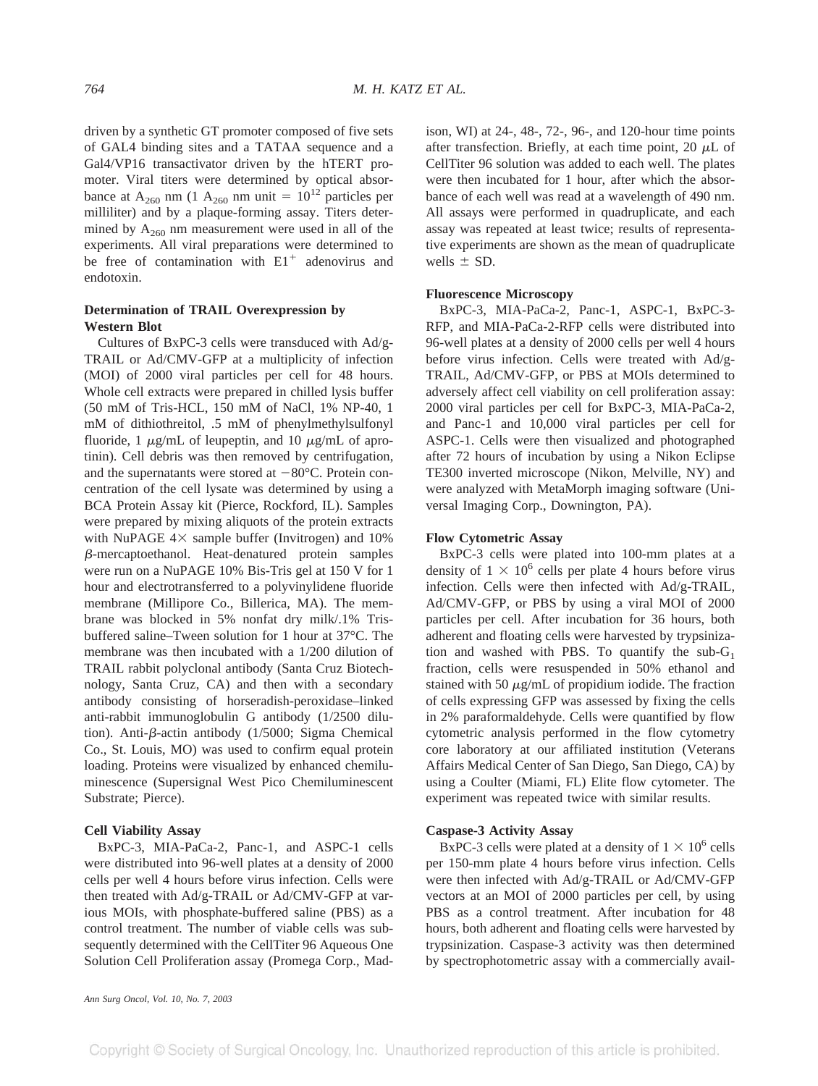driven by a synthetic GT promoter composed of five sets of GAL4 binding sites and a TATAA sequence and a Gal4/VP16 transactivator driven by the hTERT promoter. Viral titers were determined by optical absorbance at A<sub>260</sub> nm (1 A<sub>260</sub> nm unit =  $10^{12}$  particles per milliliter) and by a plaque-forming assay. Titers determined by  $A_{260}$  nm measurement were used in all of the experiments. All viral preparations were determined to be free of contamination with  $E1^+$  adenovirus and endotoxin.

# **Determination of TRAIL Overexpression by Western Blot**

Cultures of BxPC-3 cells were transduced with Ad/g-TRAIL or Ad/CMV-GFP at a multiplicity of infection (MOI) of 2000 viral particles per cell for 48 hours. Whole cell extracts were prepared in chilled lysis buffer (50 mM of Tris-HCL, 150 mM of NaCl, 1% NP-40, 1 mM of dithiothreitol, .5 mM of phenylmethylsulfonyl fluoride, 1  $\mu$ g/mL of leupeptin, and 10  $\mu$ g/mL of aprotinin). Cell debris was then removed by centrifugation, and the supernatants were stored at  $-80^{\circ}$ C. Protein concentration of the cell lysate was determined by using a BCA Protein Assay kit (Pierce, Rockford, IL). Samples were prepared by mixing aliquots of the protein extracts with NuPAGE  $4 \times$  sample buffer (Invitrogen) and 10% --mercaptoethanol. Heat-denatured protein samples were run on a NuPAGE 10% Bis-Tris gel at 150 V for 1 hour and electrotransferred to a polyvinylidene fluoride membrane (Millipore Co., Billerica, MA). The membrane was blocked in 5% nonfat dry milk/.1% Trisbuffered saline–Tween solution for 1 hour at 37°C. The membrane was then incubated with a 1/200 dilution of TRAIL rabbit polyclonal antibody (Santa Cruz Biotechnology, Santa Cruz, CA) and then with a secondary antibody consisting of horseradish-peroxidase–linked anti-rabbit immunoglobulin G antibody (1/2500 dilution). Anti- $\beta$ -actin antibody (1/5000; Sigma Chemical Co., St. Louis, MO) was used to confirm equal protein loading. Proteins were visualized by enhanced chemiluminescence (Supersignal West Pico Chemiluminescent Substrate; Pierce).

# **Cell Viability Assay**

BxPC-3, MIA-PaCa-2, Panc-1, and ASPC-1 cells were distributed into 96-well plates at a density of 2000 cells per well 4 hours before virus infection. Cells were then treated with Ad/g-TRAIL or Ad/CMV-GFP at various MOIs, with phosphate-buffered saline (PBS) as a control treatment. The number of viable cells was subsequently determined with the CellTiter 96 Aqueous One Solution Cell Proliferation assay (Promega Corp., Madison, WI) at 24-, 48-, 72-, 96-, and 120-hour time points after transfection. Briefly, at each time point, 20  $\mu$ L of CellTiter 96 solution was added to each well. The plates were then incubated for 1 hour, after which the absorbance of each well was read at a wavelength of 490 nm. All assays were performed in quadruplicate, and each assay was repeated at least twice; results of representative experiments are shown as the mean of quadruplicate wells  $+$  SD.

#### **Fluorescence Microscopy**

BxPC-3, MIA-PaCa-2, Panc-1, ASPC-1, BxPC-3- RFP, and MIA-PaCa-2-RFP cells were distributed into 96-well plates at a density of 2000 cells per well 4 hours before virus infection. Cells were treated with Ad/g-TRAIL, Ad/CMV-GFP, or PBS at MOIs determined to adversely affect cell viability on cell proliferation assay: 2000 viral particles per cell for BxPC-3, MIA-PaCa-2, and Panc-1 and 10,000 viral particles per cell for ASPC-1. Cells were then visualized and photographed after 72 hours of incubation by using a Nikon Eclipse TE300 inverted microscope (Nikon, Melville, NY) and were analyzed with MetaMorph imaging software (Universal Imaging Corp., Downington, PA).

#### **Flow Cytometric Assay**

BxPC-3 cells were plated into 100-mm plates at a density of  $1 \times 10^6$  cells per plate 4 hours before virus infection. Cells were then infected with Ad/g-TRAIL, Ad/CMV-GFP, or PBS by using a viral MOI of 2000 particles per cell. After incubation for 36 hours, both adherent and floating cells were harvested by trypsinization and washed with PBS. To quantify the sub- $G_1$ fraction, cells were resuspended in 50% ethanol and stained with 50  $\mu$ g/mL of propidium iodide. The fraction of cells expressing GFP was assessed by fixing the cells in 2% paraformaldehyde. Cells were quantified by flow cytometric analysis performed in the flow cytometry core laboratory at our affiliated institution (Veterans Affairs Medical Center of San Diego, San Diego, CA) by using a Coulter (Miami, FL) Elite flow cytometer. The experiment was repeated twice with similar results.

#### **Caspase-3 Activity Assay**

BxPC-3 cells were plated at a density of  $1 \times 10^6$  cells per 150-mm plate 4 hours before virus infection. Cells were then infected with Ad/g-TRAIL or Ad/CMV-GFP vectors at an MOI of 2000 particles per cell, by using PBS as a control treatment. After incubation for  $48$ hours, both adherent and floating cells were harvested by trypsinization. Caspase-3 activity was then determined by spectrophotometric assay with a commercially avail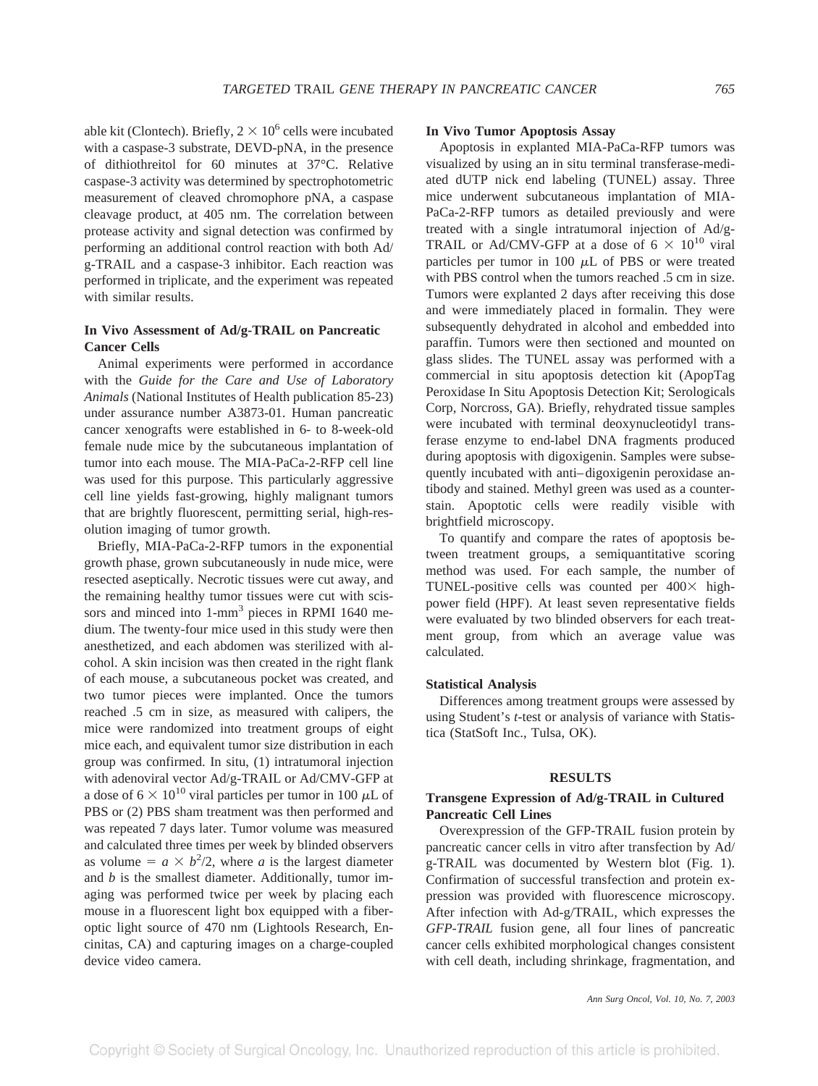able kit (Clontech). Briefly,  $2 \times 10^6$  cells were incubated with a caspase-3 substrate, DEVD-pNA, in the presence of dithiothreitol for 60 minutes at 37°C. Relative caspase-3 activity was determined by spectrophotometric measurement of cleaved chromophore pNA, a caspase cleavage product, at 405 nm. The correlation between protease activity and signal detection was confirmed by performing an additional control reaction with both Ad/ g-TRAIL and a caspase-3 inhibitor. Each reaction was performed in triplicate, and the experiment was repeated with similar results.

# **In Vivo Assessment of Ad/g-TRAIL on Pancreatic Cancer Cells**

Animal experiments were performed in accordance with the *Guide for the Care and Use of Laboratory Animals* (National Institutes of Health publication 85-23) under assurance number A3873-01. Human pancreatic cancer xenografts were established in 6- to 8-week-old female nude mice by the subcutaneous implantation of tumor into each mouse. The MIA-PaCa-2-RFP cell line was used for this purpose. This particularly aggressive cell line yields fast-growing, highly malignant tumors that are brightly fluorescent, permitting serial, high-resolution imaging of tumor growth.

Briefly, MIA-PaCa-2-RFP tumors in the exponential growth phase, grown subcutaneously in nude mice, were resected aseptically. Necrotic tissues were cut away, and the remaining healthy tumor tissues were cut with scissors and minced into 1-mm<sup>3</sup> pieces in RPMI 1640 medium. The twenty-four mice used in this study were then anesthetized, and each abdomen was sterilized with alcohol. A skin incision was then created in the right flank of each mouse, a subcutaneous pocket was created, and two tumor pieces were implanted. Once the tumors reached .5 cm in size, as measured with calipers, the mice were randomized into treatment groups of eight mice each, and equivalent tumor size distribution in each group was confirmed. In situ, (1) intratumoral injection with adenoviral vector Ad/g-TRAIL or Ad/CMV-GFP at a dose of  $6 \times 10^{10}$  viral particles per tumor in 100  $\mu$ L of PBS or (2) PBS sham treatment was then performed and was repeated 7 days later. Tumor volume was measured and calculated three times per week by blinded observers as volume =  $a \times b^2/2$ , where *a* is the largest diameter and *b* is the smallest diameter. Additionally, tumor imaging was performed twice per week by placing each mouse in a fluorescent light box equipped with a fiberoptic light source of 470 nm (Lightools Research, Encinitas, CA) and capturing images on a charge-coupled device video camera.

#### **In Vivo Tumor Apoptosis Assay**

Apoptosis in explanted MIA-PaCa-RFP tumors was visualized by using an in situ terminal transferase-mediated dUTP nick end labeling (TUNEL) assay. Three mice underwent subcutaneous implantation of MIA-PaCa-2-RFP tumors as detailed previously and were treated with a single intratumoral injection of Ad/g-TRAIL or Ad/CMV-GFP at a dose of  $6 \times 10^{10}$  viral particles per tumor in 100  $\mu$ L of PBS or were treated with PBS control when the tumors reached .5 cm in size. Tumors were explanted 2 days after receiving this dose and were immediately placed in formalin. They were subsequently dehydrated in alcohol and embedded into paraffin. Tumors were then sectioned and mounted on glass slides. The TUNEL assay was performed with a commercial in situ apoptosis detection kit (ApopTag Peroxidase In Situ Apoptosis Detection Kit; Serologicals Corp, Norcross, GA). Briefly, rehydrated tissue samples were incubated with terminal deoxynucleotidyl transferase enzyme to end-label DNA fragments produced during apoptosis with digoxigenin. Samples were subsequently incubated with anti–digoxigenin peroxidase antibody and stained. Methyl green was used as a counterstain. Apoptotic cells were readily visible with brightfield microscopy.

To quantify and compare the rates of apoptosis between treatment groups, a semiquantitative scoring method was used. For each sample, the number of TUNEL-positive cells was counted per  $400 \times$  highpower field (HPF). At least seven representative fields were evaluated by two blinded observers for each treatment group, from which an average value was calculated.

## **Statistical Analysis**

Differences among treatment groups were assessed by using Student's *t*-test or analysis of variance with Statistica (StatSoft Inc., Tulsa, OK).

#### **RESULTS**

# **Transgene Expression of Ad/g-TRAIL in Cultured Pancreatic Cell Lines**

Overexpression of the GFP-TRAIL fusion protein by pancreatic cancer cells in vitro after transfection by Ad/ g-TRAIL was documented by Western blot (Fig. 1). Confirmation of successful transfection and protein expression was provided with fluorescence microscopy. After infection with Ad-g/TRAIL, which expresses the *GFP-TRAIL* fusion gene, all four lines of pancreatic cancer cells exhibited morphological changes consistent with cell death, including shrinkage, fragmentation, and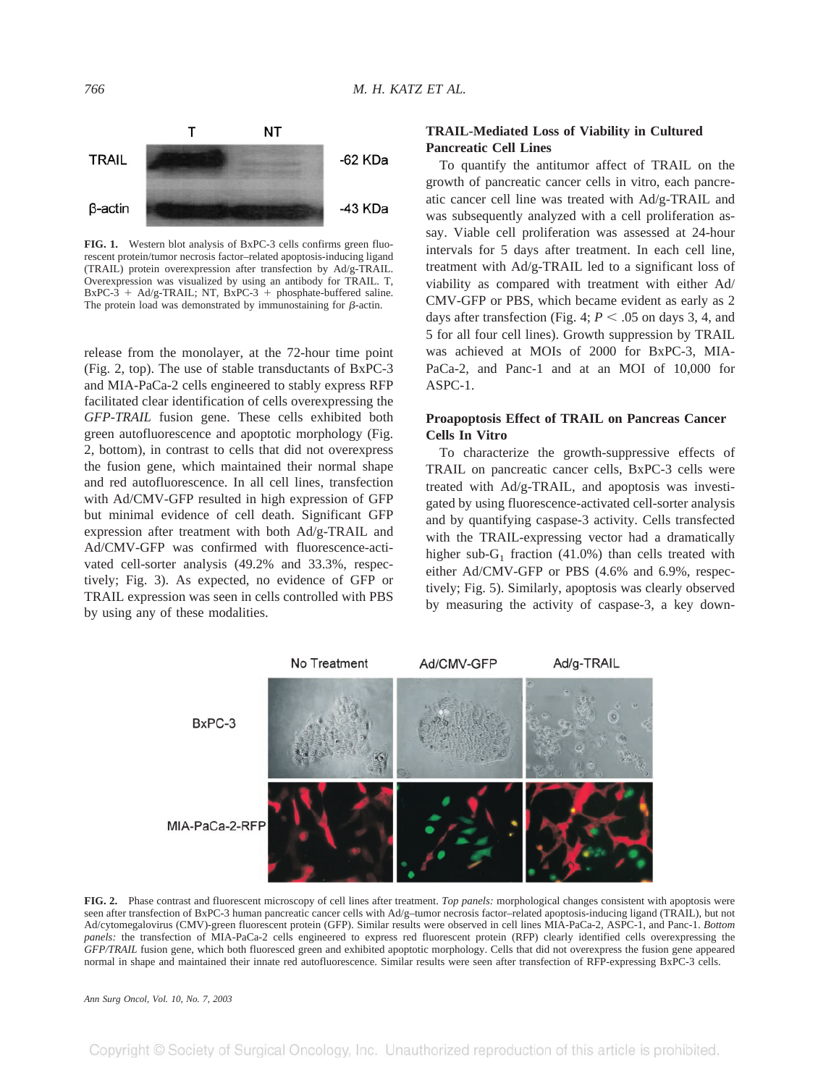

**FIG. 1.** Western blot analysis of BxPC-3 cells confirms green fluorescent protein/tumor necrosis factor–related apoptosis-inducing ligand (TRAIL) protein overexpression after transfection by Ad/g-TRAIL. Overexpression was visualized by using an antibody for TRAIL. T,  $BxPC-3 + Ad/g-TRAIL$ ; NT,  $BxPC-3 + phosphate-buffered saline$ . The protein load was demonstrated by immunostaining for  $\beta$ -actin.

release from the monolayer, at the 72-hour time point (Fig. 2, top). The use of stable transductants of BxPC-3 and MIA-PaCa-2 cells engineered to stably express RFP facilitated clear identification of cells overexpressing the *GFP-TRAIL* fusion gene. These cells exhibited both green autofluorescence and apoptotic morphology (Fig. 2, bottom), in contrast to cells that did not overexpress the fusion gene, which maintained their normal shape and red autofluorescence. In all cell lines, transfection with Ad/CMV-GFP resulted in high expression of GFP but minimal evidence of cell death. Significant GFP expression after treatment with both Ad/g-TRAIL and Ad/CMV-GFP was confirmed with fluorescence-activated cell-sorter analysis (49.2% and 33.3%, respectively; Fig. 3). As expected, no evidence of GFP or TRAIL expression was seen in cells controlled with PBS by using any of these modalities.

# **TRAIL-Mediated Loss of Viability in Cultured Pancreatic Cell Lines**

To quantify the antitumor affect of TRAIL on the growth of pancreatic cancer cells in vitro, each pancreatic cancer cell line was treated with Ad/g-TRAIL and was subsequently analyzed with a cell proliferation assay. Viable cell proliferation was assessed at 24-hour intervals for 5 days after treatment. In each cell line, treatment with Ad/g-TRAIL led to a significant loss of viability as compared with treatment with either Ad/ CMV-GFP or PBS, which became evident as early as 2 days after transfection (Fig. 4;  $P < .05$  on days 3, 4, and 5 for all four cell lines). Growth suppression by TRAIL was achieved at MOIs of 2000 for BxPC-3, MIA-PaCa-2, and Panc-1 and at an MOI of 10,000 for  $ASPC-1$ .

# **Proapoptosis Effect of TRAIL on Pancreas Cancer Cells In Vitro**

To characterize the growth-suppressive effects of TRAIL on pancreatic cancer cells, BxPC-3 cells were treated with Ad/g-TRAIL, and apoptosis was investigated by using fluorescence-activated cell-sorter analysis and by quantifying caspase-3 activity. Cells transfected with the TRAIL-expressing vector had a dramatically higher sub- $G_1$  fraction (41.0%) than cells treated with either Ad/CMV-GFP or PBS (4.6% and 6.9%, respectively; Fig. 5). Similarly, apoptosis was clearly observed by measuring the activity of caspase-3, a key down-



**FIG. 2.** Phase contrast and fluorescent microscopy of cell lines after treatment. *Top panels:* morphological changes consistent with apoptosis were seen after transfection of BxPC-3 human pancreatic cancer cells with Ad/g–tumor necrosis factor–related apoptosis-inducing ligand (TRAIL), but not Ad/cytomegalovirus (CMV)-green fluorescent protein (GFP). Similar results were observed in cell lines MIA-PaCa-2, ASPC-1, and Panc-1. *Bottom panels:* the transfection of MIA-PaCa-2 cells engineered to express red fluorescent protein (RFP) clearly identified cells overexpressing the *GFP/TRAIL* fusion gene, which both fluoresced green and exhibited apoptotic morphology. Cells that did not overexpress the fusion gene appeared normal in shape and maintained their innate red autofluorescence. Similar results were seen after transfection of RFP-expressing BxPC-3 cells.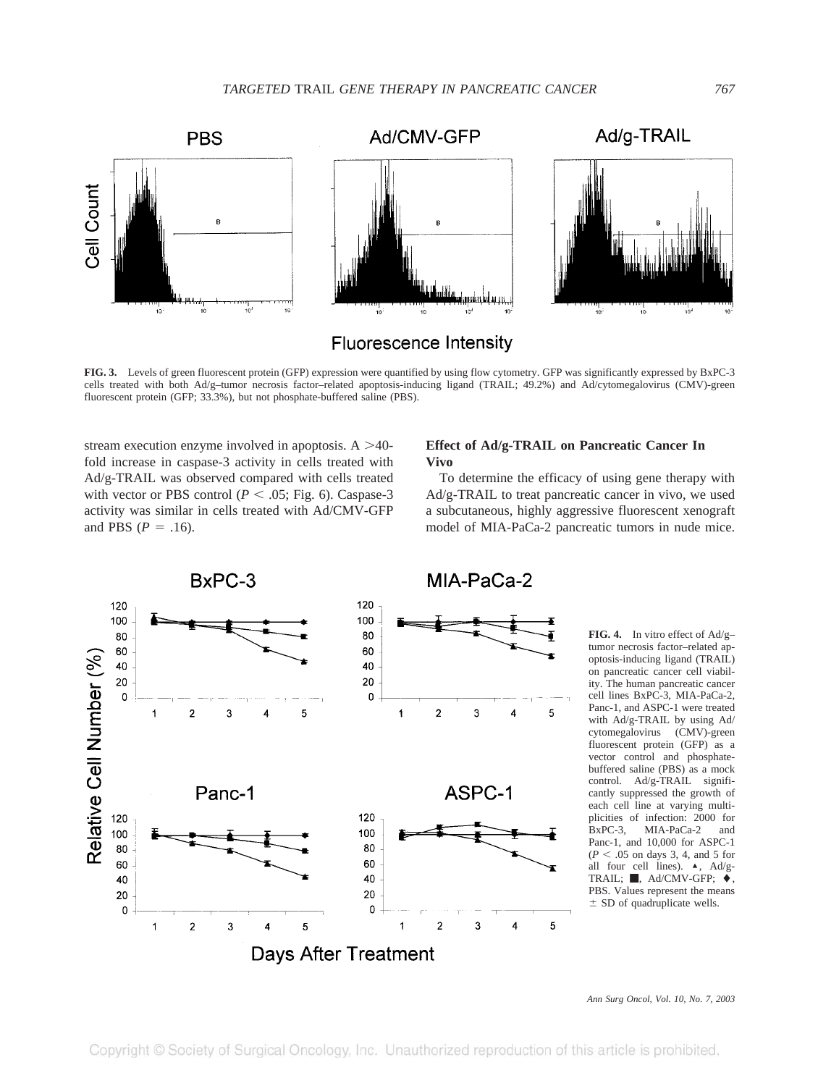

**Fluorescence Intensity** 

**FIG. 3.** Levels of green fluorescent protein (GFP) expression were quantified by using flow cytometry. GFP was significantly expressed by BxPC-3 cells treated with both Ad/g–tumor necrosis factor–related apoptosis-inducing ligand (TRAIL; 49.2%) and Ad/cytomegalovirus (CMV)-green fluorescent protein (GFP; 33.3%), but not phosphate-buffered saline (PBS).

stream execution enzyme involved in apoptosis.  $A > 40$ fold increase in caspase-3 activity in cells treated with Ad/g-TRAIL was observed compared with cells treated with vector or PBS control ( $P < .05$ ; Fig. 6). Caspase-3 activity was similar in cells treated with Ad/CMV-GFP and PBS  $(P = .16)$ .

# **Effect of Ad/g-TRAIL on Pancreatic Cancer In Vivo**

To determine the efficacy of using gene therapy with Ad/g-TRAIL to treat pancreatic cancer in vivo, we used a subcutaneous, highly aggressive fluorescent xenograft model of MIA-PaCa-2 pancreatic tumors in nude mice.



**FIG. 4.** In vitro effect of Ad/g– tumor necrosis factor–related apoptosis-inducing ligand (TRAIL) on pancreatic cancer cell viability. The human pancreatic cancer cell lines BxPC-3, MIA-PaCa-2, Panc-1, and ASPC-1 were treated with Ad/g-TRAIL by using Ad/ cytomegalovirus (CMV)-green fluorescent protein (GFP) as a vector control and phosphatebuffered saline (PBS) as a mock control. Ad/g-TRAIL significantly suppressed the growth of each cell line at varying multiplicities of infection: 2000 for<br>BxPC-3, MIA-PaCa-2 and MIA-PaCa-2 and Panc-1, and 10,000 for ASPC-1  $(P < .05$  on days 3, 4, and 5 for all four cell lines).  $\blacktriangle$ , Ad/g-TRAIL; ,  $\blacksquare$ , Ad/CMV-GFP;  $\blacklozenge$ , PBS. Values represent the means  $\pm$  SD of quadruplicate wells.

*Ann Surg Oncol, Vol. 10, No. 7, 2003*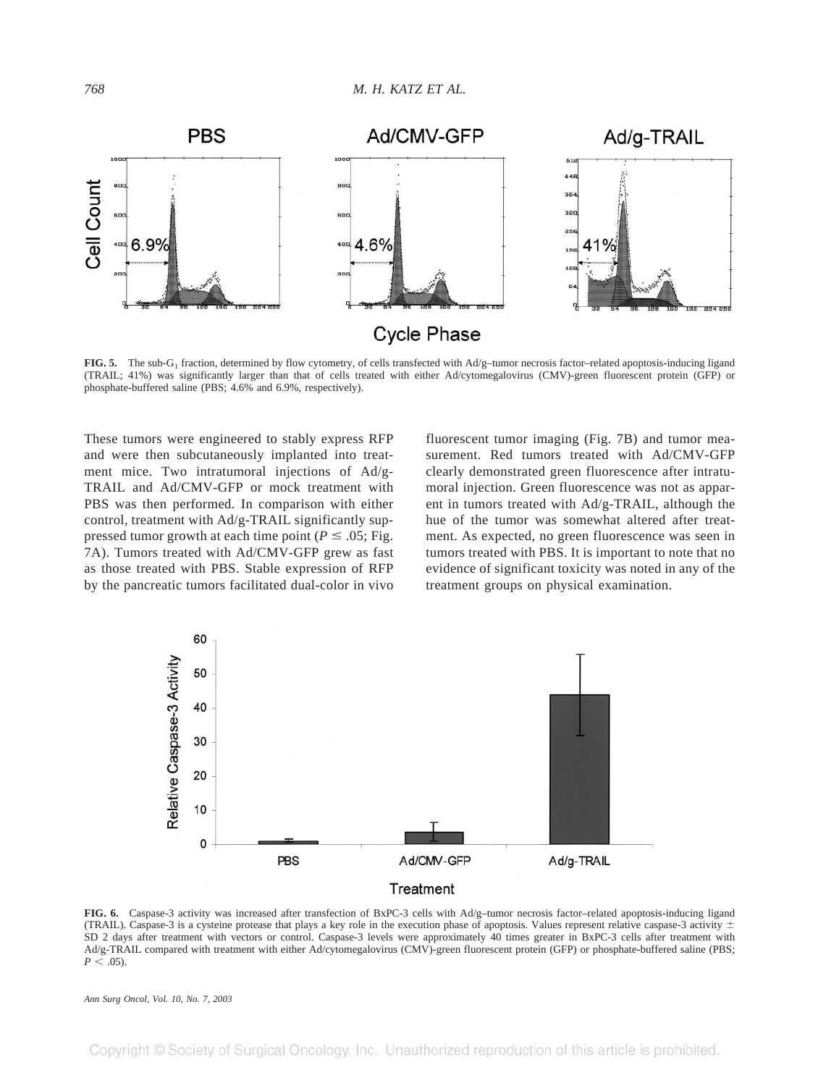

**FIG. 5.** The sub-G1 fraction, determined by flow cytometry, of cells transfected with Ad/g–tumor necrosis factor–related apoptosis-inducing ligand (TRAIL; 41%) was significantly larger than that of cells treated with either Ad/cytomegalovirus (CMV)-green fluorescent protein (GFP) or phosphate-buffered saline (PBS; 4.6% and 6.9%, respectively).

These tumors were engineered to stably express RFP and were then subcutaneously implanted into treatment mice. Two intratumoral injections of Ad/g-TRAIL and Ad/CMV-GFP or mock treatment with PBS was then performed. In comparison with either control, treatment with Ad/g-TRAIL significantly suppressed tumor growth at each time point ( $P \le .05$ ; Fig. 7A). Tumors treated with Ad/CMV-GFP grew as fast as those treated with PBS. Stable expression of RFP by the pancreatic tumors facilitated dual-color in vivo

fluorescent tumor imaging (Fig. 7B) and tumor measurement. Red tumors treated with Ad/CMV-GFP clearly demonstrated green fluorescence after intratumoral injection. Green fluorescence was not as apparent in tumors treated with Ad/g-TRAIL, although the hue of the tumor was somewhat altered after treatment. As expected, no green fluorescence was seen in tumors treated with PBS. It is important to note that no evidence of significant toxicity was noted in any of the treatment groups on physical examination.



**FIG. 6.** Caspase-3 activity was increased after transfection of BxPC-3 cells with Ad/g–tumor necrosis factor–related apoptosis-inducing ligand (TRAIL). Caspase-3 is a cysteine protease that plays a key role in the execution phase of apoptosis. Values represent relative caspase-3 activity  $\pm$ SD 2 days after treatment with vectors or control. Caspase-3 levels were approximately 40 times greater in BxPC-3 cells after treatment with Ad/g-TRAIL compared with treatment with either Ad/cytomegalovirus (CMV)-green fluorescent protein (GFP) or phosphate-buffered saline (PBS;  $P < 05$ .

*Ann Surg Oncol, Vol. 10, No. 7, 2003*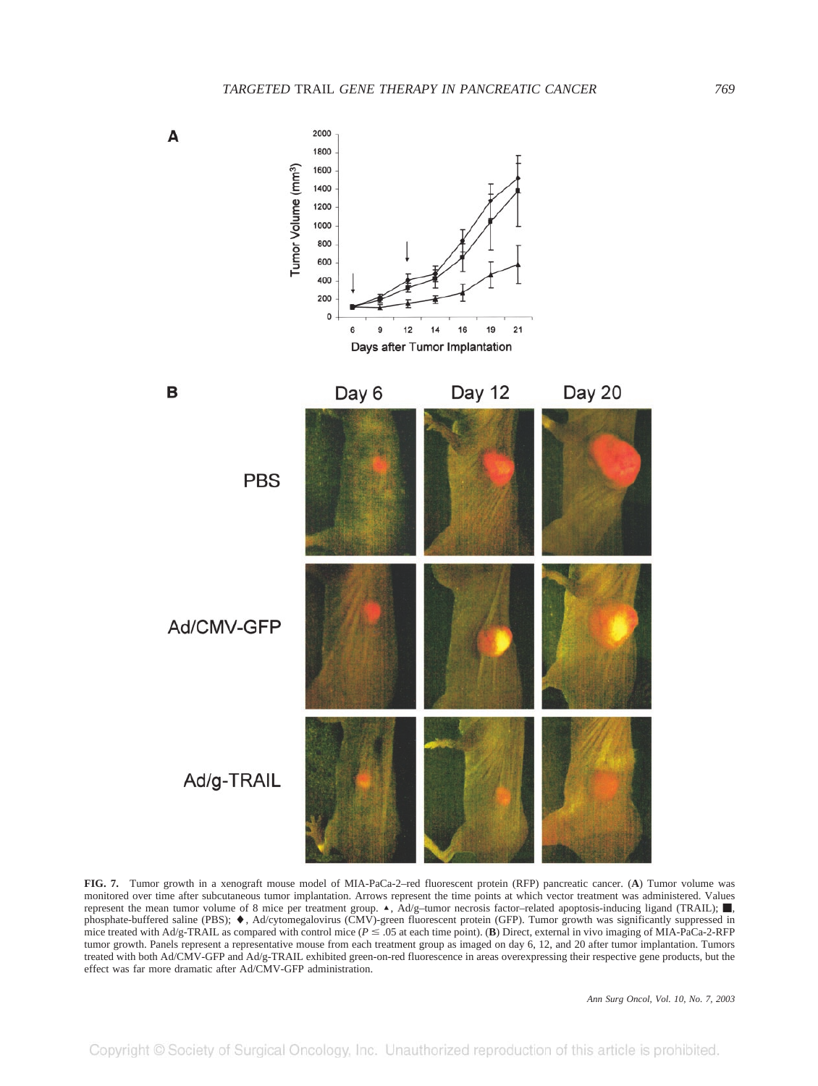

**FIG. 7.** Tumor growth in a xenograft mouse model of MIA-PaCa-2–red fluorescent protein (RFP) pancreatic cancer. (**A**) Tumor volume was monitored over time after subcutaneous tumor implantation. Arrows represent the time points at which vector treatment was administered. Values represent the mean tumor volume of 8 mice per treatment group.  $\triangle$ ,  $\hat{A}d/g$ –tumor necrosis factor–related apoptosis-inducing ligand (TRAIL);  $\blacksquare$ , phosphate-buffered saline (PBS);  $\blacklozenge$ , Ad/cytomegalovirus (CMV)-green fluorescent protein (GFP). Tumor growth was significantly suppressed in mice treated with Ad/g-TRAIL as compared with control mice ( $P \le 0.05$  at each time point). (**B**) Direct, external in vivo imaging of MIA-PaCa-2-RFP tumor growth. Panels represent a representative mouse from each treatment group as imaged on day 6, 12, and 20 after tumor implantation. Tumors treated with both Ad/CMV-GFP and Ad/g-TRAIL exhibited green-on-red fluorescence in areas overexpressing their respective gene products, but the effect was far more dramatic after Ad/CMV-GFP administration.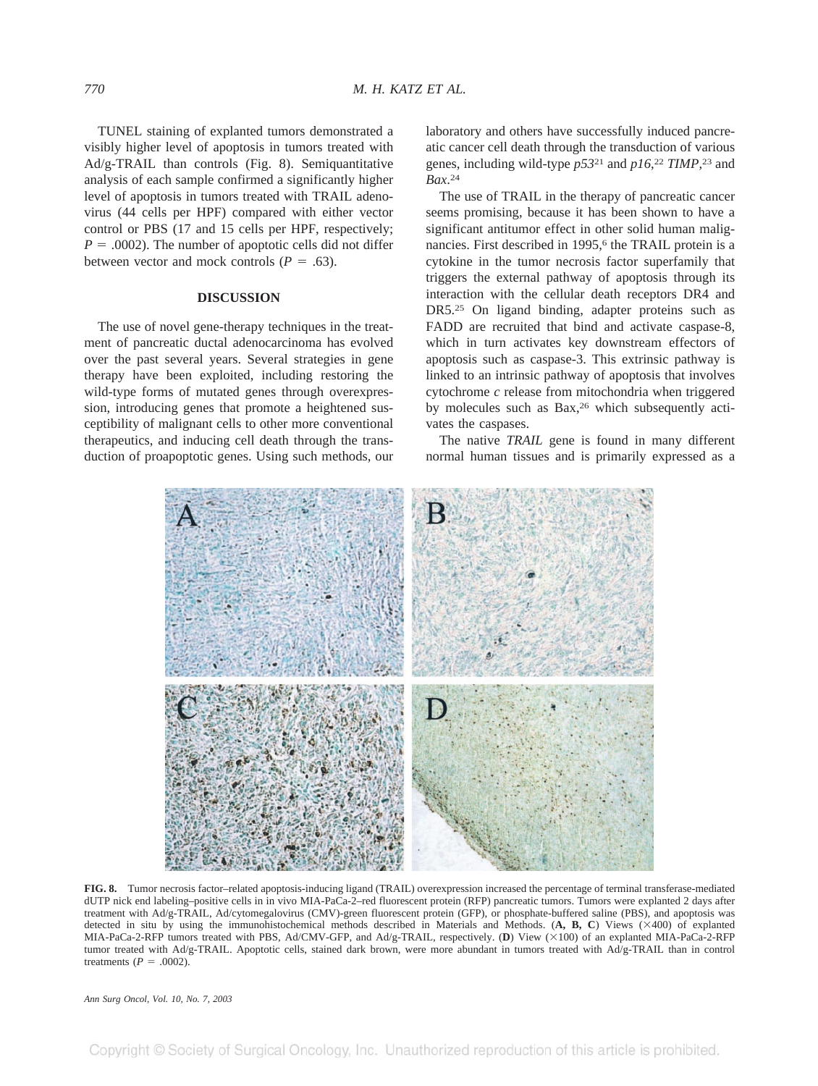TUNEL staining of explanted tumors demonstrated a visibly higher level of apoptosis in tumors treated with Ad/g-TRAIL than controls (Fig. 8). Semiquantitative analysis of each sample confirmed a significantly higher level of apoptosis in tumors treated with TRAIL adenovirus (44 cells per HPF) compared with either vector control or PBS (17 and 15 cells per HPF, respectively;  $P = .0002$ ). The number of apoptotic cells did not differ between vector and mock controls  $(P = .63)$ .

## **DISCUSSION**

The use of novel gene-therapy techniques in the treatment of pancreatic ductal adenocarcinoma has evolved over the past several years. Several strategies in gene therapy have been exploited, including restoring the wild-type forms of mutated genes through overexpression, introducing genes that promote a heightened susceptibility of malignant cells to other more conventional therapeutics, and inducing cell death through the transduction of proapoptotic genes. Using such methods, our laboratory and others have successfully induced pancreatic cancer cell death through the transduction of various genes, including wild-type *p53*<sup>21</sup> and *p16*, <sup>22</sup> *TIMP*, <sup>23</sup> and *Bax*. 24

The use of TRAIL in the therapy of pancreatic cancer seems promising, because it has been shown to have a significant antitumor effect in other solid human malignancies. First described in 1995,<sup>6</sup> the TRAIL protein is a cytokine in the tumor necrosis factor superfamily that triggers the external pathway of apoptosis through its interaction with the cellular death receptors DR4 and DR5.25 On ligand binding, adapter proteins such as FADD are recruited that bind and activate caspase-8, which in turn activates key downstream effectors of apoptosis such as caspase-3. This extrinsic pathway is linked to an intrinsic pathway of apoptosis that involves cytochrome *c* release from mitochondria when triggered by molecules such as Bax,<sup>26</sup> which subsequently activates the caspases.

The native *TRAIL* gene is found in many different normal human tissues and is primarily expressed as a



**FIG. 8.** Tumor necrosis factor–related apoptosis-inducing ligand (TRAIL) overexpression increased the percentage of terminal transferase-mediated dUTP nick end labeling–positive cells in in vivo MIA-PaCa-2–red fluorescent protein (RFP) pancreatic tumors. Tumors were explanted 2 days after treatment with Ad/g-TRAIL, Ad/cytomegalovirus (CMV)-green fluorescent protein (GFP), or phosphate-buffered saline (PBS), and apoptosis was detected in situ by using the immunohistochemical methods described in Materials and Methods. (**A, B, C**) Views (400) of explanted MIA-PaCa-2-RFP tumors treated with PBS, Ad/CMV-GFP, and Ad/g-TRAIL, respectively. (D) View (×100) of an explanted MIA-PaCa-2-RFP tumor treated with Ad/g-TRAIL. Apoptotic cells, stained dark brown, were more abundant in tumors treated with Ad/g-TRAIL than in control treatments  $(P = .0002)$ .

*Ann Surg Oncol, Vol. 10, No. 7, 2003*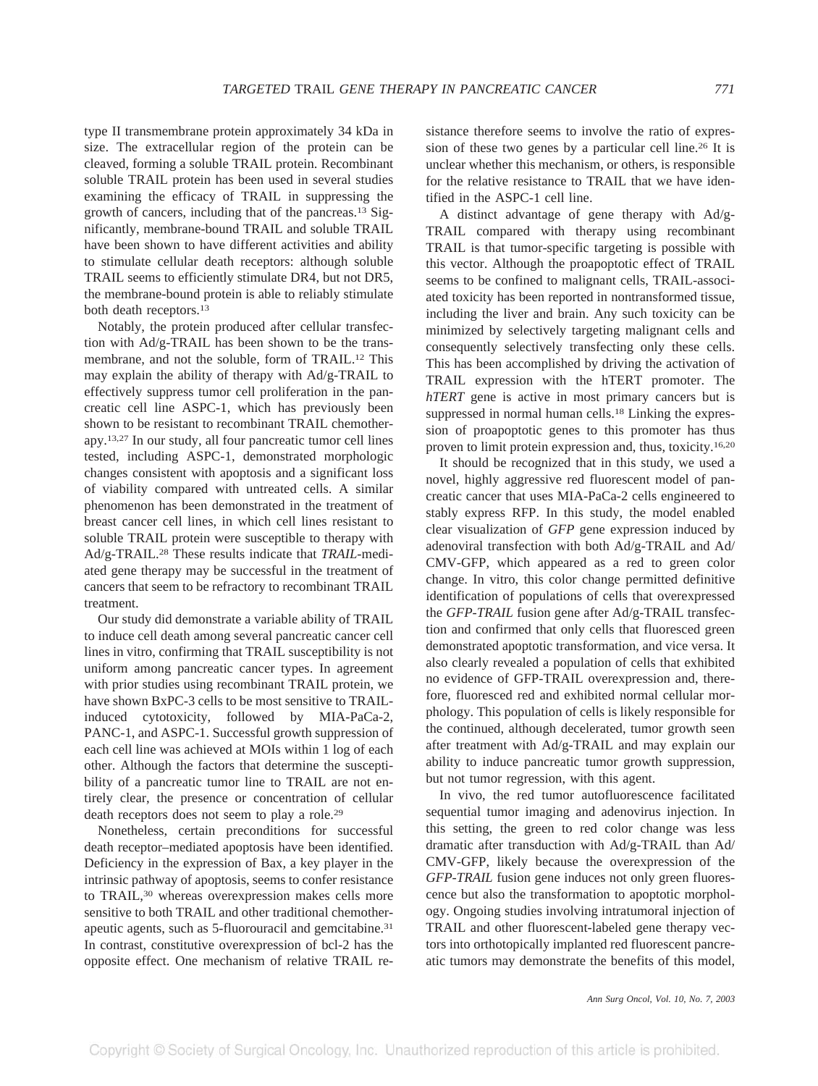cleaved, forming a soluble TRAIL protein. Recombinant soluble TRAIL protein has been used in several studies examining the efficacy of TRAIL in suppressing the growth of cancers, including that of the pancreas.13 Significantly, membrane-bound TRAIL and soluble TRAIL have been shown to have different activities and ability to stimulate cellular death receptors: although soluble TRAIL seems to efficiently stimulate DR4, but not DR5, the membrane-bound protein is able to reliably stimulate both death receptors.13

Notably, the protein produced after cellular transfection with Ad/g-TRAIL has been shown to be the transmembrane, and not the soluble, form of TRAIL.12 This may explain the ability of therapy with Ad/g-TRAIL to effectively suppress tumor cell proliferation in the pancreatic cell line ASPC-1, which has previously been shown to be resistant to recombinant TRAIL chemotherapy.13,27 In our study, all four pancreatic tumor cell lines tested, including ASPC-1, demonstrated morphologic changes consistent with apoptosis and a significant loss of viability compared with untreated cells. A similar phenomenon has been demonstrated in the treatment of breast cancer cell lines, in which cell lines resistant to soluble TRAIL protein were susceptible to therapy with Ad/g-TRAIL.28 These results indicate that *TRAIL*-mediated gene therapy may be successful in the treatment of cancers that seem to be refractory to recombinant TRAIL treatment.

Our study did demonstrate a variable ability of TRAIL to induce cell death among several pancreatic cancer cell lines in vitro, confirming that TRAIL susceptibility is not uniform among pancreatic cancer types. In agreement with prior studies using recombinant TRAIL protein, we have shown BxPC-3 cells to be most sensitive to TRAILinduced cytotoxicity, followed by MIA-PaCa-2, PANC-1, and ASPC-1. Successful growth suppression of each cell line was achieved at MOIs within 1 log of each other. Although the factors that determine the susceptibility of a pancreatic tumor line to TRAIL are not entirely clear, the presence or concentration of cellular death receptors does not seem to play a role.29

Nonetheless, certain preconditions for successful death receptor–mediated apoptosis have been identified. Deficiency in the expression of Bax, a key player in the intrinsic pathway of apoptosis, seems to confer resistance to TRAIL,30 whereas overexpression makes cells more sensitive to both TRAIL and other traditional chemotherapeutic agents, such as 5-fluorouracil and gemcitabine.31 In contrast, constitutive overexpression of bcl-2 has the opposite effect. One mechanism of relative TRAIL resistance therefore seems to involve the ratio of expression of these two genes by a particular cell line.26 It is unclear whether this mechanism, or others, is responsible for the relative resistance to TRAIL that we have identified in the ASPC-1 cell line.

A distinct advantage of gene therapy with Ad/g-TRAIL compared with therapy using recombinant TRAIL is that tumor-specific targeting is possible with this vector. Although the proapoptotic effect of TRAIL seems to be confined to malignant cells, TRAIL-associated toxicity has been reported in nontransformed tissue, including the liver and brain. Any such toxicity can be minimized by selectively targeting malignant cells and consequently selectively transfecting only these cells. This has been accomplished by driving the activation of TRAIL expression with the hTERT promoter. The *hTERT* gene is active in most primary cancers but is suppressed in normal human cells.<sup>18</sup> Linking the expression of proapoptotic genes to this promoter has thus proven to limit protein expression and, thus, toxicity.16,20

It should be recognized that in this study, we used a novel, highly aggressive red fluorescent model of pancreatic cancer that uses MIA-PaCa-2 cells engineered to stably express RFP. In this study, the model enabled clear visualization of *GFP* gene expression induced by adenoviral transfection with both Ad/g-TRAIL and Ad/ CMV-GFP, which appeared as a red to green color change. In vitro, this color change permitted definitive identification of populations of cells that overexpressed the *GFP-TRAIL* fusion gene after Ad/g-TRAIL transfection and confirmed that only cells that fluoresced green demonstrated apoptotic transformation, and vice versa. It also clearly revealed a population of cells that exhibited no evidence of GFP-TRAIL overexpression and, therefore, fluoresced red and exhibited normal cellular morphology. This population of cells is likely responsible for the continued, although decelerated, tumor growth seen after treatment with Ad/g-TRAIL and may explain our ability to induce pancreatic tumor growth suppression, but not tumor regression, with this agent.

In vivo, the red tumor autofluorescence facilitated sequential tumor imaging and adenovirus injection. In this setting, the green to red color change was less dramatic after transduction with Ad/g-TRAIL than Ad/ CMV-GFP, likely because the overexpression of the *GFP-TRAIL* fusion gene induces not only green fluorescence but also the transformation to apoptotic morphology. Ongoing studies involving intratumoral injection of TRAIL and other fluorescent-labeled gene therapy vectors into orthotopically implanted red fluorescent pancreatic tumors may demonstrate the benefits of this model,